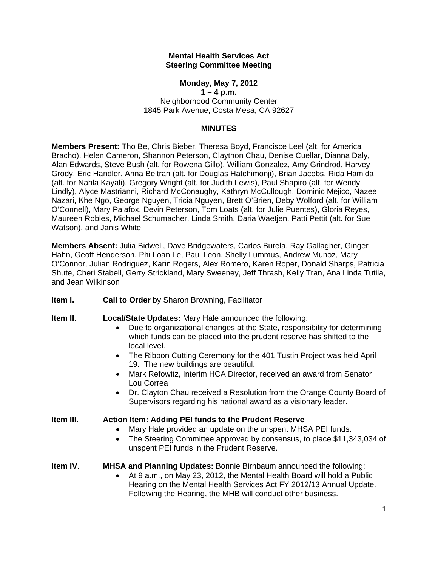### **Mental Health Services Act Steering Committee Meeting**

## **Monday, May 7, 2012**

**1 – 4 p.m.**  Neighborhood Community Center 1845 Park Avenue, Costa Mesa, CA 92627

### **MINUTES**

**Members Present:** Tho Be, Chris Bieber, Theresa Boyd, Francisce Leel (alt. for America Bracho), Helen Cameron, Shannon Peterson, Claython Chau, Denise Cuellar, Dianna Daly, Alan Edwards, Steve Bush (alt. for Rowena Gillo), William Gonzalez, Amy Grindrod, Harvey Grody, Eric Handler, Anna Beltran (alt. for Douglas Hatchimonji), Brian Jacobs, Rida Hamida (alt. for Nahla Kayali), Gregory Wright (alt. for Judith Lewis), Paul Shapiro (alt. for Wendy Lindly), Alyce Mastrianni, Richard McConaughy, Kathryn McCullough, Dominic Mejico, Nazee Nazari, Khe Ngo, George Nguyen, Tricia Nguyen, Brett O'Brien, Deby Wolford (alt. for William O'Connell), Mary Palafox, Devin Peterson, Tom Loats (alt. for Julie Puentes), Gloria Reyes, Maureen Robles, Michael Schumacher, Linda Smith, Daria Waetjen, Patti Pettit (alt. for Sue Watson), and Janis White

**Members Absent:** Julia Bidwell, Dave Bridgewaters, Carlos Burela, Ray Gallagher, Ginger Hahn, Geoff Henderson, Phi Loan Le, Paul Leon, Shelly Lummus, Andrew Munoz, Mary O'Connor, Julian Rodriguez, Karin Rogers, Alex Romero, Karen Roper, Donald Sharps, Patricia Shute, Cheri Stabell, Gerry Strickland, Mary Sweeney, Jeff Thrash, Kelly Tran, Ana Linda Tutila, and Jean Wilkinson

**Item I. Call to Order** by Sharon Browning, Facilitator

**Item II**. **Local/State Updates:** Mary Hale announced the following:

- Due to organizational changes at the State, responsibility for determining which funds can be placed into the prudent reserve has shifted to the local level.
- The Ribbon Cutting Ceremony for the 401 Tustin Project was held April 19. The new buildings are beautiful.
- Mark Refowitz, Interim HCA Director, received an award from Senator Lou Correa
- Dr. Clayton Chau received a Resolution from the Orange County Board of Supervisors regarding his national award as a visionary leader.

### **Item III. Action Item: Adding PEI funds to the Prudent Reserve**

- Mary Hale provided an update on the unspent MHSA PEI funds.
- The Steering Committee approved by consensus, to place \$11,343,034 of unspent PEI funds in the Prudent Reserve.

## **Item IV**. **MHSA and Planning Updates:** Bonnie Birnbaum announced the following:

 At 9 a.m., on May 23, 2012, the Mental Health Board will hold a Public Hearing on the Mental Health Services Act FY 2012/13 Annual Update. Following the Hearing, the MHB will conduct other business.